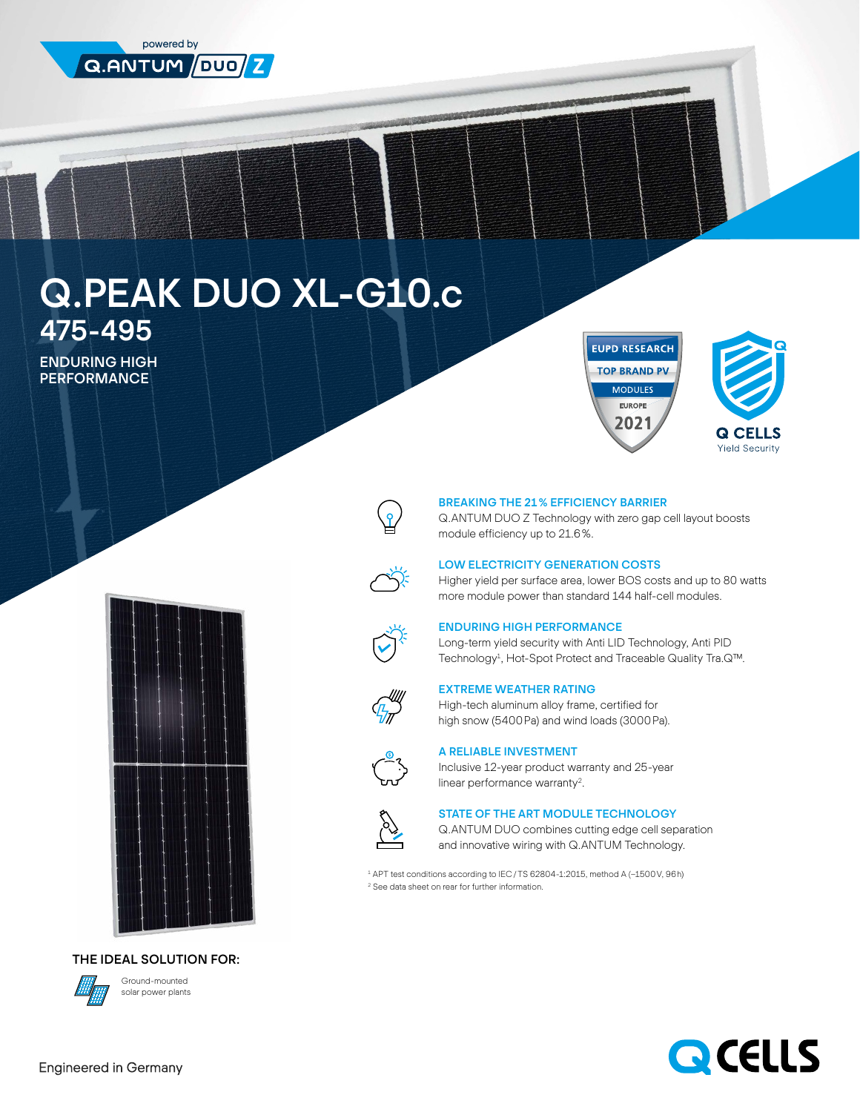

# Q.PEAK DUO XL-G10.c 475-495

ENDURING HIGH PERFORMANCE



## BREAKING THE 21% EFFICIENCY BARRIER

Q.ANTUM DUO Z Technology with zero gap cell layout boosts module efficiency up to 21.6%.

**EUPD RESEARCH TOP BRAND PV MODULES** EUROPE 2021



Higher yield per surface area, lower BOS costs and up to 80 watts more module power than standard 144 half-cell modules.

# ENDURING HIGH PERFORMANCE

Long-term yield security with Anti LID Technology, Anti PID Technology<sup>1</sup>, Hot-Spot Protect and Traceable Quality Tra.Q™.



#### EXTREME WEATHER RATING

High-tech aluminum alloy frame, certified for high snow (5400Pa) and wind loads (3000Pa).



#### A RELIABLE INVESTMENT

Inclusive 12-year product warranty and 25-year linear performance warranty2.



#### STATE OF THE ART MODULE TECHNOLOGY

Q.ANTUM DUO combines cutting edge cell separation and innovative wiring with Q.ANTUM Technology.

1 APT test conditions according to IEC/TS 62804-1:2015, method A (−1500V, 96h) <sup>2</sup> See data sheet on rear for further information.



THE IDEAL SOLUTION FOR:



Ground-mounted solar power plants



Q CELLS **Yield Security**